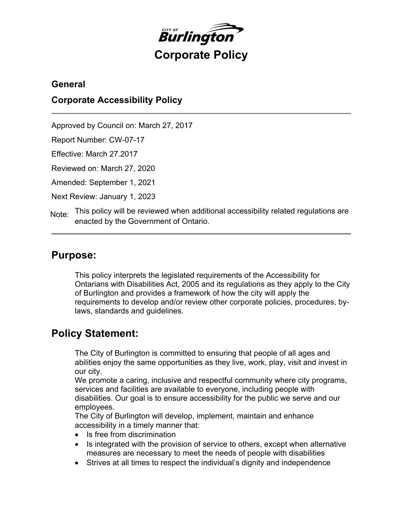

## **General**

## **Corporate Accessibility Policy**

Approved by Council on: March 27, 2017

Report Number: CW-07-17

Effective: March 27.2017

Reviewed on: March 27, 2020

Amended: September 1, 2021

Next Review: January 1, 2023

This policy will be reviewed when additional accessibility related regulations are enacted by the Government of Ontario. Note:

## **Purpose:**

This policy interprets the legislated requirements of the Accessibility for Ontarians with Disabilities Act, 2005 and its regulations as they apply to the City of Burlington and provides a framework of how the city will apply the requirements to develop and/or review other corporate policies, procedures, bylaws, standards and guidelines.

# **Policy Statement:**

The City of Burlington is committed to ensuring that people of all ages and abilities enjoy the same opportunities as they live, work, play, visit and invest in our city.

We promote a caring, inclusive and respectful community where city programs, services and facilities are available to everyone, including people with disabilities. Our goal is to ensure accessibility for the public we serve and our employees.

The City of Burlington will develop, implement, maintain and enhance accessibility in a timely manner that:

- Is free from discrimination
- Is integrated with the provision of service to others, except when alternative measures are necessary to meet the needs of people with disabilities
- Strives at all times to respect the individual's dignity and independence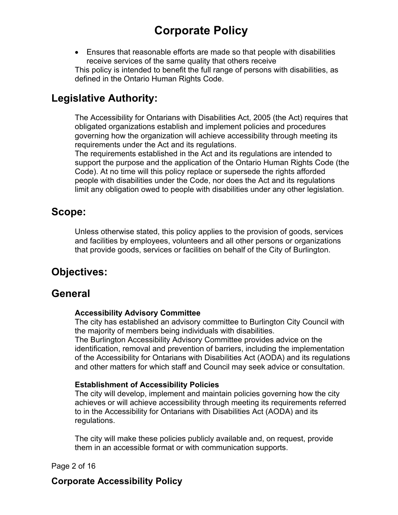Ensures that reasonable efforts are made so that people with disabilities receive services of the same quality that others receive This policy is intended to benefit the full range of persons with disabilities, as defined in the Ontario Human Rights Code.

# **Legislative Authority:**

The Accessibility for Ontarians with Disabilities Act, 2005 (the Act) requires that obligated organizations establish and implement policies and procedures governing how the organization will achieve accessibility through meeting its requirements under the Act and its regulations.

The requirements established in the Act and its regulations are intended to support the purpose and the application of the Ontario Human Rights Code (the Code). At no time will this policy replace or supersede the rights afforded people with disabilities under the Code, nor does the Act and its regulations limit any obligation owed to people with disabilities under any other legislation.

# **Scope:**

Unless otherwise stated, this policy applies to the provision of goods, services and facilities by employees, volunteers and all other persons or organizations that provide goods, services or facilities on behalf of the City of Burlington.

# **Objectives:**

# **General**

### **Accessibility Advisory Committee**

The city has established an advisory committee to Burlington City Council with the majority of members being individuals with disabilities. The Burlington Accessibility Advisory Committee provides advice on the identification, removal and prevention of barriers, including the implementation of the Accessibility for Ontarians with Disabilities Act (AODA) and its regulations and other matters for which staff and Council may seek advice or consultation.

### **Establishment of Accessibility Policies**

The city will develop, implement and maintain policies governing how the city achieves or will achieve accessibility through meeting its requirements referred to in the Accessibility for Ontarians with Disabilities Act (AODA) and its regulations.

The city will make these policies publicly available and, on request, provide them in an accessible format or with communication supports.

Page 2 of 16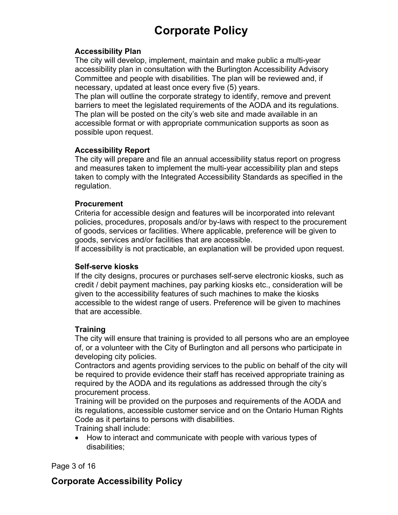#### **Accessibility Plan**

The city will develop, implement, maintain and make public a multi-year accessibility plan in consultation with the Burlington Accessibility Advisory Committee and people with disabilities. The plan will be reviewed and, if necessary, updated at least once every five (5) years.

The plan will outline the corporate strategy to identify, remove and prevent barriers to meet the legislated requirements of the AODA and its regulations. The plan will be posted on the city's web site and made available in an accessible format or with appropriate communication supports as soon as possible upon request.

#### **Accessibility Report**

The city will prepare and file an annual accessibility status report on progress and measures taken to implement the multi-year accessibility plan and steps taken to comply with the Integrated Accessibility Standards as specified in the regulation.

#### **Procurement**

Criteria for accessible design and features will be incorporated into relevant policies, procedures, proposals and/or by-laws with respect to the procurement of goods, services or facilities. Where applicable, preference will be given to goods, services and/or facilities that are accessible.

If accessibility is not practicable, an explanation will be provided upon request.

#### **Self-serve kiosks**

If the city designs, procures or purchases self-serve electronic kiosks, such as credit / debit payment machines, pay parking kiosks etc., consideration will be given to the accessibility features of such machines to make the kiosks accessible to the widest range of users. Preference will be given to machines that are accessible.

### **Training**

The city will ensure that training is provided to all persons who are an employee of, or a volunteer with the City of Burlington and all persons who participate in developing city policies.

Contractors and agents providing services to the public on behalf of the city will be required to provide evidence their staff has received appropriate training as required by the AODA and its regulations as addressed through the city's procurement process.

Training will be provided on the purposes and requirements of the AODA and its regulations, accessible customer service and on the Ontario Human Rights Code as it pertains to persons with disabilities.

Training shall include:

• How to interact and communicate with people with various types of disabilities;

Page 3 of 16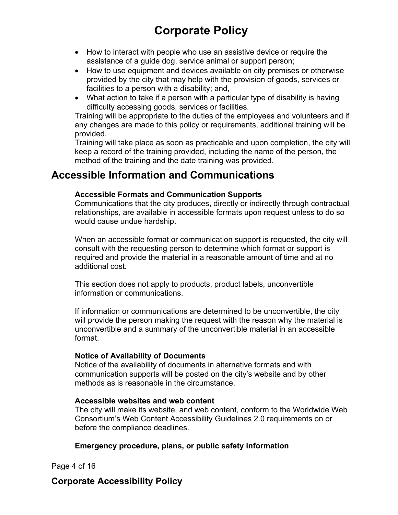- How to interact with people who use an assistive device or require the assistance of a guide dog, service animal or support person;
- How to use equipment and devices available on city premises or otherwise provided by the city that may help with the provision of goods, services or facilities to a person with a disability; and,
- What action to take if a person with a particular type of disability is having difficulty accessing goods, services or facilities.

Training will be appropriate to the duties of the employees and volunteers and if any changes are made to this policy or requirements, additional training will be provided.

Training will take place as soon as practicable and upon completion, the city will keep a record of the training provided, including the name of the person, the method of the training and the date training was provided.

# **Accessible Information and Communications**

#### **Accessible Formats and Communication Supports**

Communications that the city produces, directly or indirectly through contractual relationships, are available in accessible formats upon request unless to do so would cause undue hardship.

When an accessible format or communication support is requested, the city will consult with the requesting person to determine which format or support is required and provide the material in a reasonable amount of time and at no additional cost.

This section does not apply to products, product labels, unconvertible information or communications.

If information or communications are determined to be unconvertible, the city will provide the person making the request with the reason why the material is unconvertible and a summary of the unconvertible material in an accessible format.

#### **Notice of Availability of Documents**

Notice of the availability of documents in alternative formats and with communication supports will be posted on the city's website and by other methods as is reasonable in the circumstance.

#### **Accessible websites and web content**

The city will make its website, and web content, conform to the Worldwide Web Consortium's Web Content Accessibility Guidelines 2.0 requirements on or before the compliance deadlines.

### **Emergency procedure, plans, or public safety information**

Page 4 of 16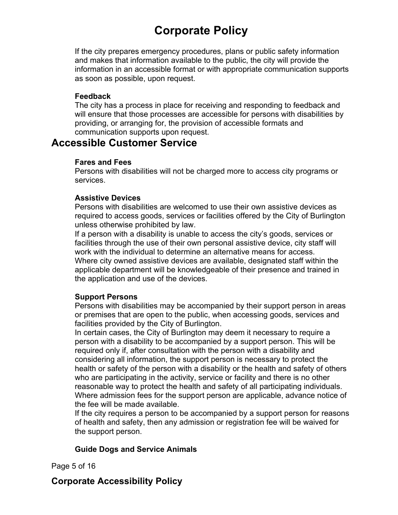If the city prepares emergency procedures, plans or public safety information and makes that information available to the public, the city will provide the information in an accessible format or with appropriate communication supports as soon as possible, upon request.

#### **Feedback**

The city has a process in place for receiving and responding to feedback and will ensure that those processes are accessible for persons with disabilities by providing, or arranging for, the provision of accessible formats and communication supports upon request.

## **Accessible Customer Service**

#### **Fares and Fees**

Persons with disabilities will not be charged more to access city programs or services.

### **Assistive Devices**

Persons with disabilities are welcomed to use their own assistive devices as required to access goods, services or facilities offered by the City of Burlington unless otherwise prohibited by law.

If a person with a disability is unable to access the city's goods, services or facilities through the use of their own personal assistive device, city staff will work with the individual to determine an alternative means for access. Where city owned assistive devices are available, designated staff within the applicable department will be knowledgeable of their presence and trained in the application and use of the devices.

#### **Support Persons**

Persons with disabilities may be accompanied by their support person in areas or premises that are open to the public, when accessing goods, services and facilities provided by the City of Burlington.

In certain cases, the City of Burlington may deem it necessary to require a person with a disability to be accompanied by a support person. This will be required only if, after consultation with the person with a disability and considering all information, the support person is necessary to protect the health or safety of the person with a disability or the health and safety of others who are participating in the activity, service or facility and there is no other reasonable way to protect the health and safety of all participating individuals. Where admission fees for the support person are applicable, advance notice of the fee will be made available.

If the city requires a person to be accompanied by a support person for reasons of health and safety, then any admission or registration fee will be waived for the support person.

### **Guide Dogs and Service Animals**

Page 5 of 16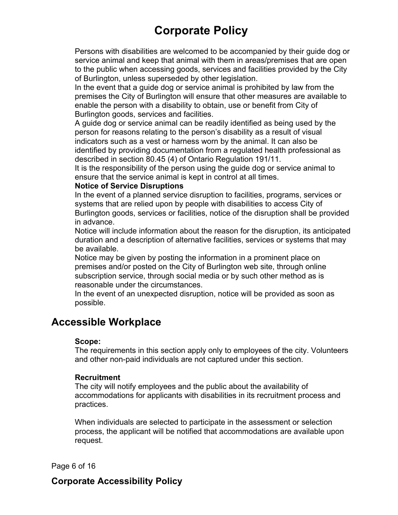Persons with disabilities are welcomed to be accompanied by their guide dog or service animal and keep that animal with them in areas/premises that are open to the public when accessing goods, services and facilities provided by the City of Burlington, unless superseded by other legislation.

In the event that a guide dog or service animal is prohibited by law from the premises the City of Burlington will ensure that other measures are available to enable the person with a disability to obtain, use or benefit from City of Burlington goods, services and facilities.

A guide dog or service animal can be readily identified as being used by the person for reasons relating to the person's disability as a result of visual indicators such as a vest or harness worn by the animal. It can also be identified by providing documentation from a regulated health professional as described in section 80.45 (4) of Ontario Regulation 191/11.

It is the responsibility of the person using the guide dog or service animal to ensure that the service animal is kept in control at all times.

#### **Notice of Service Disruptions**

In the event of a planned service disruption to facilities, programs, services or systems that are relied upon by people with disabilities to access City of Burlington goods, services or facilities, notice of the disruption shall be provided in advance.

Notice will include information about the reason for the disruption, its anticipated duration and a description of alternative facilities, services or systems that may be available.

Notice may be given by posting the information in a prominent place on premises and/or posted on the City of Burlington web site, through online subscription service, through social media or by such other method as is reasonable under the circumstances.

In the event of an unexpected disruption, notice will be provided as soon as possible.

# **Accessible Workplace**

#### **Scope:**

The requirements in this section apply only to employees of the city. Volunteers and other non-paid individuals are not captured under this section.

#### **Recruitment**

The city will notify employees and the public about the availability of accommodations for applicants with disabilities in its recruitment process and practices.

When individuals are selected to participate in the assessment or selection process, the applicant will be notified that accommodations are available upon request.

Page 6 of 16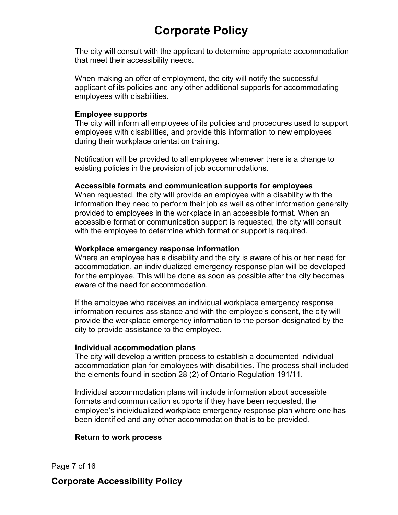The city will consult with the applicant to determine appropriate accommodation that meet their accessibility needs.

When making an offer of employment, the city will notify the successful applicant of its policies and any other additional supports for accommodating employees with disabilities.

#### **Employee supports**

The city will inform all employees of its policies and procedures used to support employees with disabilities, and provide this information to new employees during their workplace orientation training.

Notification will be provided to all employees whenever there is a change to existing policies in the provision of job accommodations.

#### **Accessible formats and communication supports for employees**

When requested, the city will provide an employee with a disability with the information they need to perform their job as well as other information generally provided to employees in the workplace in an accessible format. When an accessible format or communication support is requested, the city will consult with the employee to determine which format or support is required.

#### **Workplace emergency response information**

Where an employee has a disability and the city is aware of his or her need for accommodation, an individualized emergency response plan will be developed for the employee. This will be done as soon as possible after the city becomes aware of the need for accommodation.

If the employee who receives an individual workplace emergency response information requires assistance and with the employee's consent, the city will provide the workplace emergency information to the person designated by the city to provide assistance to the employee.

#### **Individual accommodation plans**

The city will develop a written process to establish a documented individual accommodation plan for employees with disabilities. The process shall included the elements found in section 28 (2) of Ontario Regulation 191/11.

Individual accommodation plans will include information about accessible formats and communication supports if they have been requested, the employee's individualized workplace emergency response plan where one has been identified and any other accommodation that is to be provided.

#### **Return to work process**

Page 7 of 16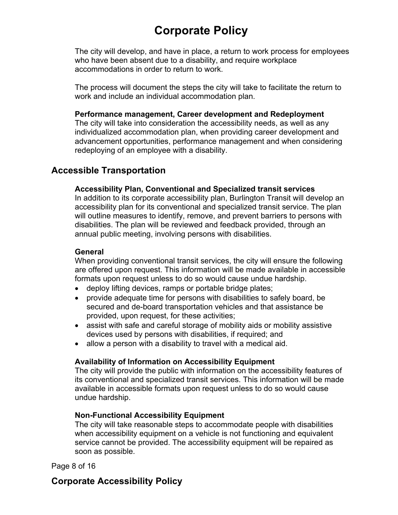The city will develop, and have in place, a return to work process for employees who have been absent due to a disability, and require workplace accommodations in order to return to work.

The process will document the steps the city will take to facilitate the return to work and include an individual accommodation plan.

#### **Performance management, Career development and Redeployment**

The city will take into consideration the accessibility needs, as well as any individualized accommodation plan, when providing career development and advancement opportunities, performance management and when considering redeploying of an employee with a disability.

### **Accessible Transportation**

#### **Accessibility Plan, Conventional and Specialized transit services**

In addition to its corporate accessibility plan, Burlington Transit will develop an accessibility plan for its conventional and specialized transit service. The plan will outline measures to identify, remove, and prevent barriers to persons with disabilities. The plan will be reviewed and feedback provided, through an annual public meeting, involving persons with disabilities.

#### **General**

When providing conventional transit services, the city will ensure the following are offered upon request. This information will be made available in accessible formats upon request unless to do so would cause undue hardship.

- deploy lifting devices, ramps or portable bridge plates;
- provide adequate time for persons with disabilities to safely board, be secured and de-board transportation vehicles and that assistance be provided, upon request, for these activities;
- assist with safe and careful storage of mobility aids or mobility assistive devices used by persons with disabilities, if required; and
- allow a person with a disability to travel with a medical aid.

#### **Availability of Information on Accessibility Equipment**

The city will provide the public with information on the accessibility features of its conventional and specialized transit services. This information will be made available in accessible formats upon request unless to do so would cause undue hardship.

#### **Non-Functional Accessibility Equipment**

The city will take reasonable steps to accommodate people with disabilities when accessibility equipment on a vehicle is not functioning and equivalent service cannot be provided. The accessibility equipment will be repaired as soon as possible.

Page 8 of 16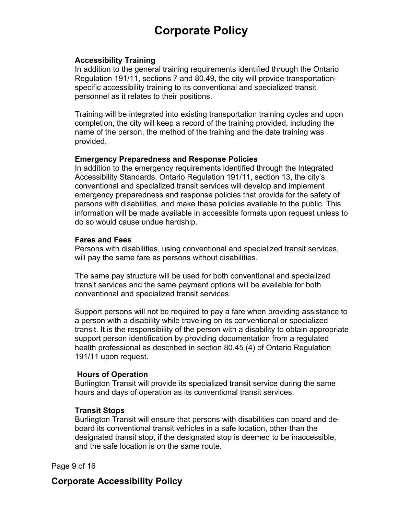#### **Accessibility Training**

In addition to the general training requirements identified through the Ontario Regulation 191/11, sections 7 and 80.49, the city will provide transportationspecific accessibility training to its conventional and specialized transit personnel as it relates to their positions.

Training will be integrated into existing transportation training cycles and upon completion, the city will keep a record of the training provided, including the name of the person, the method of the training and the date training was provided.

#### **Emergency Preparedness and Response Policies**

In addition to the emergency requirements identified through the Integrated Accessibility Standards, Ontario Regulation 191/11, section 13, the city's conventional and specialized transit services will develop and implement emergency preparedness and response policies that provide for the safety of persons with disabilities, and make these policies available to the public. This information will be made available in accessible formats upon request unless to do so would cause undue hardship.

#### **Fares and Fees**

Persons with disabilities, using conventional and specialized transit services, will pay the same fare as persons without disabilities.

The same pay structure will be used for both conventional and specialized transit services and the same payment options will be available for both conventional and specialized transit services.

Support persons will not be required to pay a fare when providing assistance to a person with a disability while traveling on its conventional or specialized transit. It is the responsibility of the person with a disability to obtain appropriate support person identification by providing documentation from a regulated health professional as described in section 80.45 (4) of Ontario Regulation 191/11 upon request.

#### **Hours of Operation**

Burlington Transit will provide its specialized transit service during the same hours and days of operation as its conventional transit services.

#### **Transit Stops**

Burlington Transit will ensure that persons with disabilities can board and deboard its conventional transit vehicles in a safe location, other than the designated transit stop, if the designated stop is deemed to be inaccessible, and the safe location is on the same route.

Page 9 of 16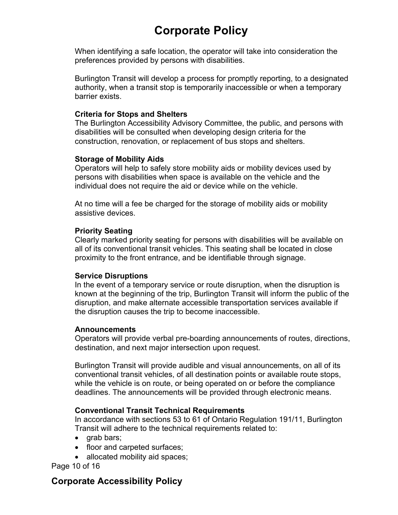When identifying a safe location, the operator will take into consideration the preferences provided by persons with disabilities.

Burlington Transit will develop a process for promptly reporting, to a designated authority, when a transit stop is temporarily inaccessible or when a temporary barrier exists.

#### **Criteria for Stops and Shelters**

The Burlington Accessibility Advisory Committee, the public, and persons with disabilities will be consulted when developing design criteria for the construction, renovation, or replacement of bus stops and shelters.

#### **Storage of Mobility Aids**

Operators will help to safely store mobility aids or mobility devices used by persons with disabilities when space is available on the vehicle and the individual does not require the aid or device while on the vehicle.

At no time will a fee be charged for the storage of mobility aids or mobility assistive devices.

#### **Priority Seating**

Clearly marked priority seating for persons with disabilities will be available on all of its conventional transit vehicles. This seating shall be located in close proximity to the front entrance, and be identifiable through signage.

#### **Service Disruptions**

In the event of a temporary service or route disruption, when the disruption is known at the beginning of the trip, Burlington Transit will inform the public of the disruption, and make alternate accessible transportation services available if the disruption causes the trip to become inaccessible.

#### **Announcements**

Operators will provide verbal pre-boarding announcements of routes, directions, destination, and next major intersection upon request.

Burlington Transit will provide audible and visual announcements, on all of its conventional transit vehicles, of all destination points or available route stops, while the vehicle is on route, or being operated on or before the compliance deadlines. The announcements will be provided through electronic means.

### **Conventional Transit Technical Requirements**

In accordance with sections 53 to 61 of Ontario Regulation 191/11, Burlington Transit will adhere to the technical requirements related to:

- grab bars;
- floor and carpeted surfaces;
- allocated mobility aid spaces;

Page 10 of 16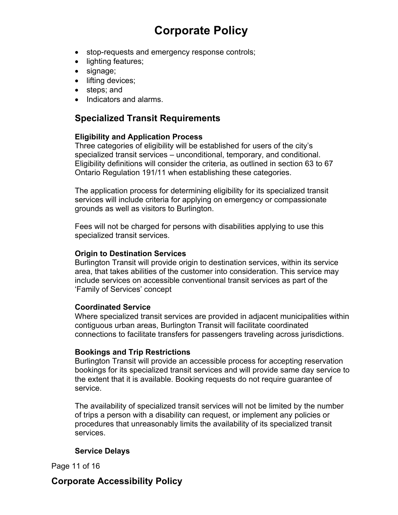- stop-requests and emergency response controls;
- lighting features;
- signage;
- $\bullet$  lifting devices;
- steps: and
- Indicators and alarms

## **Specialized Transit Requirements**

### **Eligibility and Application Process**

Three categories of eligibility will be established for users of the city's specialized transit services – unconditional, temporary, and conditional. Eligibility definitions will consider the criteria, as outlined in section 63 to 67 Ontario Regulation 191/11 when establishing these categories.

The application process for determining eligibility for its specialized transit services will include criteria for applying on emergency or compassionate grounds as well as visitors to Burlington.

Fees will not be charged for persons with disabilities applying to use this specialized transit services.

#### **Origin to Destination Services**

Burlington Transit will provide origin to destination services, within its service area, that takes abilities of the customer into consideration. This service may include services on accessible conventional transit services as part of the 'Family of Services' concept

#### **Coordinated Service**

Where specialized transit services are provided in adjacent municipalities within contiguous urban areas, Burlington Transit will facilitate coordinated connections to facilitate transfers for passengers traveling across jurisdictions.

#### **Bookings and Trip Restrictions**

Burlington Transit will provide an accessible process for accepting reservation bookings for its specialized transit services and will provide same day service to the extent that it is available. Booking requests do not require guarantee of service.

The availability of specialized transit services will not be limited by the number of trips a person with a disability can request, or implement any policies or procedures that unreasonably limits the availability of its specialized transit services.

### **Service Delays**

Page 11 of 16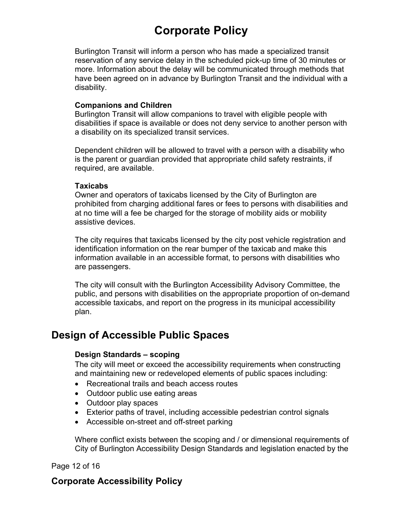Burlington Transit will inform a person who has made a specialized transit reservation of any service delay in the scheduled pick-up time of 30 minutes or more. Information about the delay will be communicated through methods that have been agreed on in advance by Burlington Transit and the individual with a disability.

#### **Companions and Children**

Burlington Transit will allow companions to travel with eligible people with disabilities if space is available or does not deny service to another person with a disability on its specialized transit services.

Dependent children will be allowed to travel with a person with a disability who is the parent or guardian provided that appropriate child safety restraints, if required, are available.

#### **Taxicabs**

Owner and operators of taxicabs licensed by the City of Burlington are prohibited from charging additional fares or fees to persons with disabilities and at no time will a fee be charged for the storage of mobility aids or mobility assistive devices.

The city requires that taxicabs licensed by the city post vehicle registration and identification information on the rear bumper of the taxicab and make this information available in an accessible format, to persons with disabilities who are passengers.

The city will consult with the Burlington Accessibility Advisory Committee, the public, and persons with disabilities on the appropriate proportion of on-demand accessible taxicabs, and report on the progress in its municipal accessibility plan.

# **Design of Accessible Public Spaces**

### **Design Standards – scoping**

The city will meet or exceed the accessibility requirements when constructing and maintaining new or redeveloped elements of public spaces including:

- Recreational trails and beach access routes
- Outdoor public use eating areas
- Outdoor play spaces
- Exterior paths of travel, including accessible pedestrian control signals
- Accessible on-street and off-street parking

Where conflict exists between the scoping and / or dimensional requirements of City of Burlington Accessibility Design Standards and legislation enacted by the

Page 12 of 16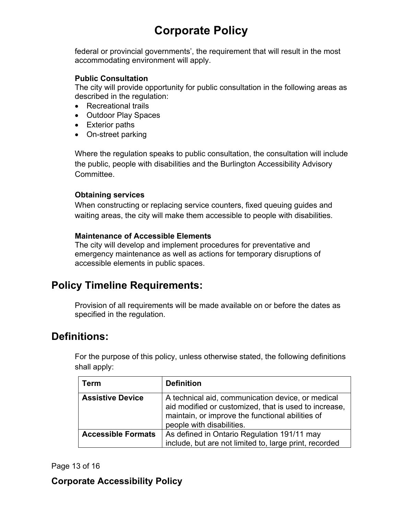federal or provincial governments', the requirement that will result in the most accommodating environment will apply.

### **Public Consultation**

The city will provide opportunity for public consultation in the following areas as described in the regulation:

- Recreational trails
- Outdoor Play Spaces
- Exterior paths
- On-street parking

Where the regulation speaks to public consultation, the consultation will include the public, people with disabilities and the Burlington Accessibility Advisory Committee.

### **Obtaining services**

When constructing or replacing service counters, fixed queuing guides and waiting areas, the city will make them accessible to people with disabilities.

### **Maintenance of Accessible Elements**

The city will develop and implement procedures for preventative and emergency maintenance as well as actions for temporary disruptions of accessible elements in public spaces.

# **Policy Timeline Requirements:**

Provision of all requirements will be made available on or before the dates as specified in the regulation.

# **Definitions:**

For the purpose of this policy, unless otherwise stated, the following definitions shall apply:

| <b>Term</b>               | <b>Definition</b>                                                                                                                                                                           |
|---------------------------|---------------------------------------------------------------------------------------------------------------------------------------------------------------------------------------------|
| <b>Assistive Device</b>   | A technical aid, communication device, or medical<br>aid modified or customized, that is used to increase,<br>maintain, or improve the functional abilities of<br>people with disabilities. |
| <b>Accessible Formats</b> | As defined in Ontario Regulation 191/11 may<br>include, but are not limited to, large print, recorded                                                                                       |

### Page 13 of 16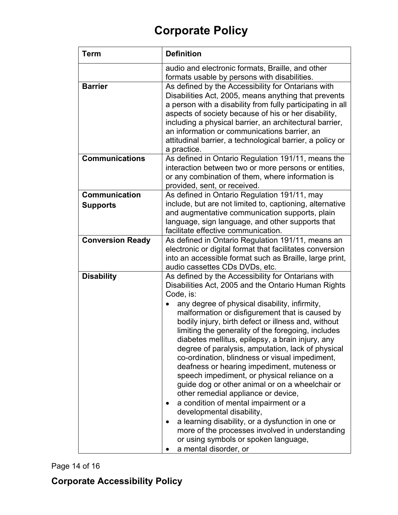| <b>Term</b>                             | <b>Definition</b>                                                                                                                                                                                                                                                                                                                                                                                                                                                                                                                                                                                                                                                                                                                                                                                                                                                                                                                          |
|-----------------------------------------|--------------------------------------------------------------------------------------------------------------------------------------------------------------------------------------------------------------------------------------------------------------------------------------------------------------------------------------------------------------------------------------------------------------------------------------------------------------------------------------------------------------------------------------------------------------------------------------------------------------------------------------------------------------------------------------------------------------------------------------------------------------------------------------------------------------------------------------------------------------------------------------------------------------------------------------------|
|                                         | audio and electronic formats, Braille, and other<br>formats usable by persons with disabilities.                                                                                                                                                                                                                                                                                                                                                                                                                                                                                                                                                                                                                                                                                                                                                                                                                                           |
| <b>Barrier</b>                          | As defined by the Accessibility for Ontarians with<br>Disabilities Act, 2005, means anything that prevents<br>a person with a disability from fully participating in all<br>aspects of society because of his or her disability,<br>including a physical barrier, an architectural barrier,<br>an information or communications barrier, an<br>attitudinal barrier, a technological barrier, a policy or<br>a practice.                                                                                                                                                                                                                                                                                                                                                                                                                                                                                                                    |
| <b>Communications</b>                   | As defined in Ontario Regulation 191/11, means the<br>interaction between two or more persons or entities,<br>or any combination of them, where information is<br>provided, sent, or received.                                                                                                                                                                                                                                                                                                                                                                                                                                                                                                                                                                                                                                                                                                                                             |
| <b>Communication</b><br><b>Supports</b> | As defined in Ontario Regulation 191/11, may<br>include, but are not limited to, captioning, alternative<br>and augmentative communication supports, plain<br>language, sign language, and other supports that<br>facilitate effective communication.                                                                                                                                                                                                                                                                                                                                                                                                                                                                                                                                                                                                                                                                                      |
| <b>Conversion Ready</b>                 | As defined in Ontario Regulation 191/11, means an<br>electronic or digital format that facilitates conversion<br>into an accessible format such as Braille, large print,<br>audio cassettes CDs DVDs, etc.                                                                                                                                                                                                                                                                                                                                                                                                                                                                                                                                                                                                                                                                                                                                 |
| <b>Disability</b>                       | As defined by the Accessibility for Ontarians with<br>Disabilities Act, 2005 and the Ontario Human Rights<br>Code, is:<br>any degree of physical disability, infirmity,<br>malformation or disfigurement that is caused by<br>bodily injury, birth defect or illness and, without<br>limiting the generality of the foregoing, includes<br>diabetes mellitus, epilepsy, a brain injury, any<br>degree of paralysis, amputation, lack of physical<br>co-ordination, blindness or visual impediment,<br>deafness or hearing impediment, muteness or<br>speech impediment, or physical reliance on a<br>guide dog or other animal or on a wheelchair or<br>other remedial appliance or device,<br>a condition of mental impairment or a<br>developmental disability,<br>a learning disability, or a dysfunction in one or<br>more of the processes involved in understanding<br>or using symbols or spoken language,<br>a mental disorder, or |

Page 14 of 16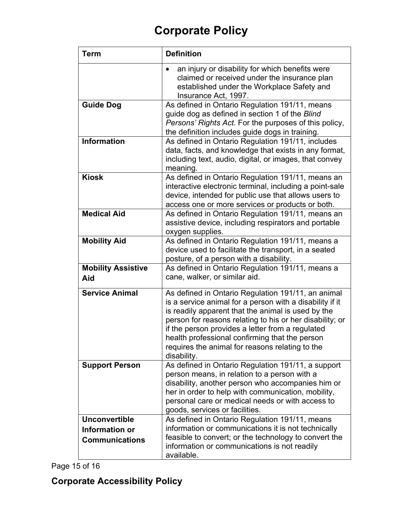| <b>Term</b>                                                     | <b>Definition</b>                                                                                                                                                                                                                                                                                                                                                                                        |
|-----------------------------------------------------------------|----------------------------------------------------------------------------------------------------------------------------------------------------------------------------------------------------------------------------------------------------------------------------------------------------------------------------------------------------------------------------------------------------------|
|                                                                 | an injury or disability for which benefits were<br>$\bullet$<br>claimed or received under the insurance plan<br>established under the Workplace Safety and<br>Insurance Act, 1997.                                                                                                                                                                                                                       |
| <b>Guide Dog</b>                                                | As defined in Ontario Regulation 191/11, means<br>guide dog as defined in section 1 of the Blind<br>Persons' Rights Act. For the purposes of this policy,<br>the definition includes guide dogs in training.                                                                                                                                                                                             |
| <b>Information</b>                                              | As defined in Ontario Regulation 191/11, includes<br>data, facts, and knowledge that exists in any format,<br>including text, audio, digital, or images, that convey<br>meaning.                                                                                                                                                                                                                         |
| <b>Kiosk</b>                                                    | As defined in Ontario Regulation 191/11, means an<br>interactive electronic terminal, including a point-sale<br>device, intended for public use that allows users to<br>access one or more services or products or both.                                                                                                                                                                                 |
| <b>Medical Aid</b>                                              | As defined in Ontario Regulation 191/11, means an<br>assistive device, including respirators and portable<br>oxygen supplies.                                                                                                                                                                                                                                                                            |
| <b>Mobility Aid</b>                                             | As defined in Ontario Regulation 191/11, means a<br>device used to facilitate the transport, in a seated<br>posture, of a person with a disability.                                                                                                                                                                                                                                                      |
| <b>Mobility Assistive</b><br>Aid                                | As defined in Ontario Regulation 191/11, means a<br>cane, walker, or similar aid.                                                                                                                                                                                                                                                                                                                        |
| <b>Service Animal</b>                                           | As defined in Ontario Regulation 191/11, an animal<br>is a service animal for a person with a disability if it<br>is readily apparent that the animal is used by the<br>person for reasons relating to his or her disability; or<br>if the person provides a letter from a regulated<br>health professional confirming that the person<br>requires the animal for reasons relating to the<br>disability. |
| <b>Support Person</b>                                           | As defined in Ontario Regulation 191/11, a support<br>person means, in relation to a person with a<br>disability, another person who accompanies him or<br>her in order to help with communication, mobility,<br>personal care or medical needs or with access to<br>goods, services or facilities.                                                                                                      |
| <b>Unconvertible</b><br>Information or<br><b>Communications</b> | As defined in Ontario Regulation 191/11, means<br>information or communications it is not technically<br>feasible to convert; or the technology to convert the<br>information or communications is not readily<br>available.                                                                                                                                                                             |

Page 15 of 16